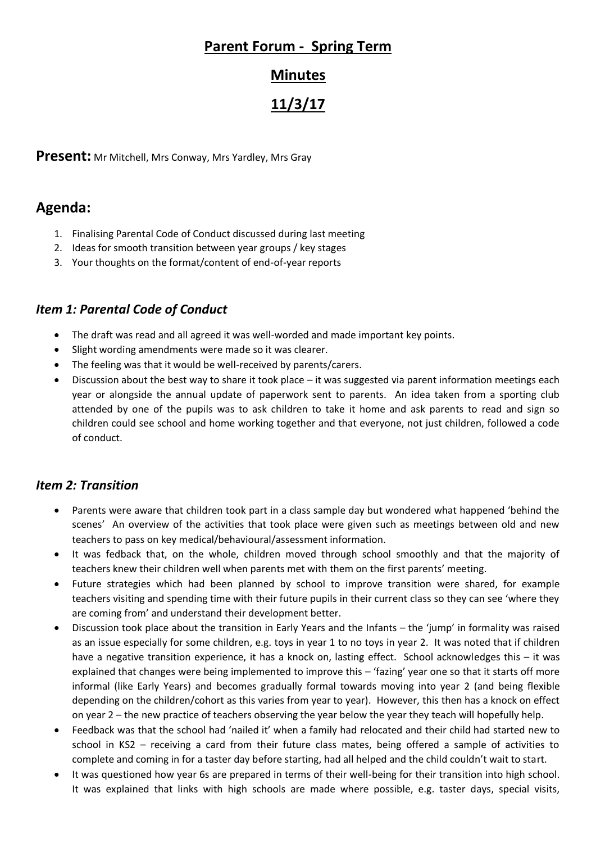## **Parent Forum - Spring Term**

### **Minutes**

# **11/3/17**

**Present:** Mr Mitchell, Mrs Conway, Mrs Yardley, Mrs Gray

## **Agenda:**

- 1. Finalising Parental Code of Conduct discussed during last meeting
- 2. Ideas for smooth transition between year groups / key stages
- 3. Your thoughts on the format/content of end-of-year reports

#### *Item 1: Parental Code of Conduct*

- The draft was read and all agreed it was well-worded and made important key points.
- Slight wording amendments were made so it was clearer.
- The feeling was that it would be well-received by parents/carers.
- Discussion about the best way to share it took place it was suggested via parent information meetings each year or alongside the annual update of paperwork sent to parents. An idea taken from a sporting club attended by one of the pupils was to ask children to take it home and ask parents to read and sign so children could see school and home working together and that everyone, not just children, followed a code of conduct.

#### *Item 2: Transition*

- Parents were aware that children took part in a class sample day but wondered what happened 'behind the scenes' An overview of the activities that took place were given such as meetings between old and new teachers to pass on key medical/behavioural/assessment information.
- It was fedback that, on the whole, children moved through school smoothly and that the majority of teachers knew their children well when parents met with them on the first parents' meeting.
- Future strategies which had been planned by school to improve transition were shared, for example teachers visiting and spending time with their future pupils in their current class so they can see 'where they are coming from' and understand their development better.
- Discussion took place about the transition in Early Years and the Infants the 'jump' in formality was raised as an issue especially for some children, e.g. toys in year 1 to no toys in year 2. It was noted that if children have a negative transition experience, it has a knock on, lasting effect. School acknowledges this – it was explained that changes were being implemented to improve this – 'fazing' year one so that it starts off more informal (like Early Years) and becomes gradually formal towards moving into year 2 (and being flexible depending on the children/cohort as this varies from year to year). However, this then has a knock on effect on year 2 – the new practice of teachers observing the year below the year they teach will hopefully help.
- Feedback was that the school had 'nailed it' when a family had relocated and their child had started new to school in KS2 – receiving a card from their future class mates, being offered a sample of activities to complete and coming in for a taster day before starting, had all helped and the child couldn't wait to start.
- It was questioned how year 6s are prepared in terms of their well-being for their transition into high school. It was explained that links with high schools are made where possible, e.g. taster days, special visits,